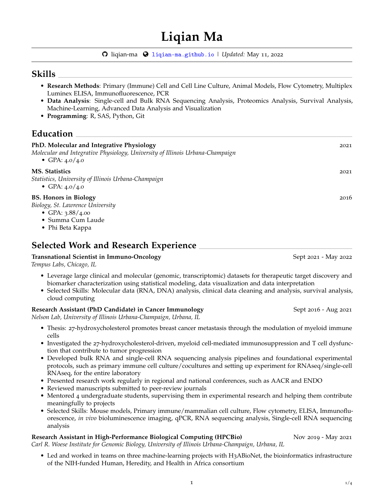# **Liqian Ma**

[liqian-ma](http://github.com/liqian-ma) [liqian-ma.github.io](http://liqian-ma.github.io) | *Updated:* May 11, 2022

### **Skills**

- **Research Methods**: Primary (Immune) Cell and Cell Line Culture, Animal Models, Flow Cytometry, Multiplex Luminex ELISA, Immunofluorescence, PCR
- **Data Analysis**: Single-cell and Bulk RNA Sequencing Analysis, Proteomics Analysis, Survival Analysis, Machine-Learning, Advanced Data Analysis and Visualization
- **Programming**: R, SAS, Python, Git

# **Education**

| PhD. Molecular and Integrative Physiology<br>Molecular and Integrative Physiology, University of Illinois Urbana-Champaign<br>• GPA: $4.0/4.0$ | 2021 |
|------------------------------------------------------------------------------------------------------------------------------------------------|------|
| <b>MS.</b> Statistics<br>Statistics, University of Illinois Urbana-Champaign<br>• GPA: $4.0/4.0$                                               | 2021 |
| <b>BS.</b> Honors in Biology<br>Biology, St. Lawrence University<br>• GPA: $3.88/4.00$<br>• Summa Cum Laude<br>• Phi Beta Kappa                | 2016 |

### **Selected Work and Research Experience**

#### **Transnational Scientist in Immuno-Oncology** Sept 2021 - May 2022 - May 2022

*Tempus Labs, Chicago, IL*

- Leverage large clinical and molecular (genomic, transcriptomic) datasets for therapeutic target discovery and biomarker characterization using statistical modeling, data visualization and data interpretation
- Selected Skills: Molecular data (RNA, DNA) analysis, clinical data cleaning and analysis, survival analysis, cloud computing

### **Research Assistant (PhD Candidate) in Cancer Immunology** Sept 2016 - Aug 2021

*Nelson Lab, University of Illinois Urbana-Champaign, Urbana, IL*

- Thesis: 27-hydroxycholesterol promotes breast cancer metastasis through the modulation of myeloid immune cells
- Investigated the 27-hydroxycholesterol-driven, myeloid cell-mediated immunosuppression and T cell dysfunction that contribute to tumor progression
- Developed bulk RNA and single-cell RNA sequencing analysis pipelines and foundational experimental protocols, such as primary immune cell culture/cocultures and setting up experiment for RNAseq/single-cell RNAseq, for the entire laboratory
- Presented research work regularly in regional and national conferences, such as AACR and ENDO
- Reviewed manuscripts submitted to peer-review journals
- Mentored 4 undergraduate students, supervising them in experimental research and helping them contribute meaningfully to projects
- Selected Skills: Mouse models, Primary immune/mammalian cell culture, Flow cytometry, ELISA, Immunofluorescence, *in vivo* bioluminescence imaging, qPCR, RNA sequencing analysis, Single-cell RNA sequencing analysis

#### **Research Assistant in High-Performance Biological Computing (HPCBio)** Nov 2019 - May 2021

*Carl R. Woese Institute for Genomic Biology, University of Illinois Urbana-Champaign, Urbana, IL*

• Led and worked in teams on three machine-learning projects with H3ABioNet, the bioinformatics infrastructure of the NIH-funded Human, Heredity, and Health in Africa consortium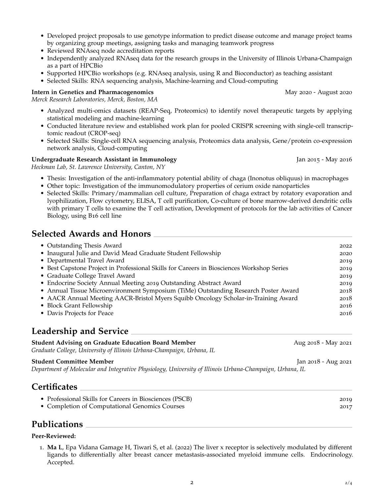- Developed project proposals to use genotype information to predict disease outcome and manage project teams by organizing group meetings, assigning tasks and managing teamwork progress
- Reviewed RNAseq node accreditation reports
- Independently analyzed RNAseq data for the research groups in the University of Illinois Urbana-Champaign as a part of HPCBio
- Supported HPCBio workshops (e.g. RNAseq analysis, using R and Bioconductor) as teaching assistant
- Selected Skills: RNA sequencing analysis, Machine-learning and Cloud-computing

#### **Intern in Genetics and Pharmacogenomics** May 2020 - August 2020 - August 2020

*Merck Research Laboratories, Merck, Boston, MA*

- Analyzed multi-omics datasets (REAP-Seq, Proteomics) to identify novel therapeutic targets by applying statistical modeling and machine-learning
- Conducted literature review and established work plan for pooled CRISPR screening with single-cell transcriptomic readout (CROP-seq)
- Selected Skills: Single-cell RNA sequencing analysis, Proteomics data analysis, Gene/protein co-expression network analysis, Cloud-computing

#### **Undergraduate Research Assistant in Immunology** Jan 2015 - May 2016

*Heckman Lab, St. Lawrence University, Canton, NY*

- Thesis: Investigation of the anti-inflammatory potential ability of chaga (Inonotus obliquus) in macrophages
- Other topic: Investigation of the immunomodulatory properties of cerium oxide nanoparticles
- Selected Skills: Primary/mammalian cell culture, Preparation of chaga extract by rotatory evaporation and lyophilization, Flow cytometry, ELISA, T cell purification, Co-culture of bone marrow-derived dendritic cells with primary T cells to examine the T cell activation, Development of protocols for the lab activities of Cancer Biology, using B16 cell line

### **Selected Awards and Honors**

| • Outstanding Thesis Award                                                                | 2022 |
|-------------------------------------------------------------------------------------------|------|
| • Inaugural Julie and David Mead Graduate Student Fellowship                              | 2020 |
| • Departmental Travel Award                                                               | 2019 |
| • Best Capstone Project in Professional Skills for Careers in Biosciences Workshop Series | 2019 |
| • Graduate College Travel Award                                                           | 2019 |
| • Endocrine Society Annual Meeting 2019 Outstanding Abstract Award                        | 2019 |
| • Annual Tissue Microenvironment Symposium (TiMe) Outstanding Research Poster Award       | 2018 |
| • AACR Annual Meeting AACR-Bristol Myers Squibb Oncology Scholar-in-Training Award        | 2018 |
| • Block Grant Fellowship                                                                  | 2016 |
| • Davis Projects for Peace                                                                | 2016 |

## **Leadership and Service**

| <b>Student Advising on Graduate Education Board Member</b>            | Aug 2018 - May 2021 |
|-----------------------------------------------------------------------|---------------------|
| Graduate College, University of Illinois Urbana-Champaign, Urbana, IL |                     |
| Student Committee Member                                              | Jan 2018 - Aug 2021 |

*Department of Molecular and Integrative Physiology, University of Illinois Urbana-Champaign, Urbana, IL*

### **Certificates**

| • Professional Skills for Careers in Biosciences (PSCB) | 2019 |
|---------------------------------------------------------|------|
| • Completion of Computational Genomics Courses          | 2017 |
|                                                         |      |

## **Publications**

#### **Peer-Reviewed:**

1. **Ma L**, Epa Vidana Gamage H, Tiwari S, et al. (2022) The liver x receptor is selectively modulated by different ligands to differentially alter breast cancer metastasis-associated myeloid immune cells. Endocrinology. Accepted.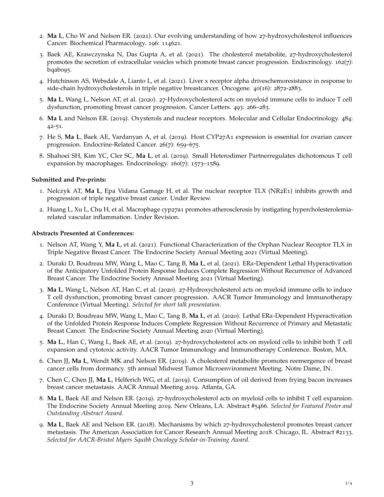- 2. **Ma L**, Cho W and Nelson ER. (2021). Our evolving understanding of how 27-hydroxycholesterol influences Cancer. Biochemical Pharmacology. 196: 114621.
- 3. Baek AE, Krawczynska N, Das Gupta A, et al. (2021). The cholesterol metabolite, 27-hydroxycholesterol promotes the secretion of extracellular vesicles which promote breast cancer progression. Endocrinology. 162(7): bqab095.
- 4. Hutchinson AS, Websdale A, Lianto L, et al. (2021). Liver x receptor alpha driveschemoresistance in response to side-chain hydroxycholesterols in triple negative breastcancer. Oncogene. 40(16): 2872-2883.
- 5. **Ma L**, Wang L, Nelson AT, et al. (2020). 27-Hydroxycholesterol acts on myeloid immune cells to induce T cell dysfunction, promoting breast cancer progression. Cancer Letters. 493: 266–283.
- 6. **Ma L** and Nelson ER. (2019). Oxysterols and nuclear receptors. Molecular and Cellular Endocrinology. 484: 42-51.
- 7. He S, **Ma L**, Baek AE, Vardanyan A, et al. (2019). Host CYP27A1 expression is essential for ovarian cancer progression. Endocrine-Related Cancer. 26(7): 659–675.
- 8. Shahoei SH, Kim YC, Cler SC, **Ma L**, et al. (2019). Small Heterodimer Partnerregulates dichotomous T cell expansion by macrophages. Endocrinology. 160(7): 1573–1589.

#### **Submitted and Pre-prints:**

- 1. Nelczyk AT, **Ma L**, Epa Vidana Gamage H, et al. The nuclear receptor TLX (NR2E1) inhibits growth and progression of triple negative breast cancer. Under Review.
- 2. Huang L, Xu L, Chu H, et al. Macrophage cyp27a1 promotes atherosclerosis by instigating hypercholesterolemiarelated vascular inflammation. Under Revision.

#### **Abstracts Presented at Conferences:**

- 1. Nelson AT, Wang Y, **Ma L**, et al. (2021). Functional Characterization of the Orphan Nuclear Receptor TLX in Triple Negative Breast Cancer. The Endocrine Society Annual Meeting 2021 (Virtual Meeting).
- 2. Duraki D, Boudreau MW, Wang L, Mao C, Tang B, **Ma L**, et al. (2021). ER*α*-Dependent Lethal Hyperactivation of the Anticipatory Unfolded Protein Response Induces Complete Regression Without Recurrence of Advanced Breast Cancer. The Endocrine Society Annual Meeting 2021 (Virtual Meeting).
- 3. **Ma L**, Wang L, Nelson AT, Han C, et al. (2020). 27-Hydroxycholesterol acts on myeloid immune cells to induce T cell dysfunction, promoting breast cancer progression. AACR Tumor Immunology and Immunotherapy Conference (Virtual Meeting). *Selected for short talk presentation.*
- 4. Duraki D, Boudreau MW, Wang L, Mao C, Tang B, **Ma L**, et al. (2020). Lethal ER*α*-Dependent Hyperactivation of the Unfolded Protein Response Induces Complete Regression Without Recurrence of Primary and Metastatic Breast Cancer. The Endocrine Society Annual Meeting 2020 (Virtual Meeting).
- 5. **Ma L.**, Han C, Wang L, Baek AE, et al. (2019). 27-hydroxycholesterol acts on myeloid cells to inhibit both T cell expansion and cytotoxic activity. AACR Tumor Immunology and Immunotherapy Conference. Boston, MA.
- 6. Chen JJ, **Ma L**, Wendt MK and Nelson ER. (2019). A cholesterol metabolite promotes reemergence of breast cancer cells from dormancy. 5th annual Midwest Tumor Microenvironment Meeting. Notre Dame, IN.
- 7. Chen C, Chen JJ, **Ma L**, Helferich WG, et al. (2019). Consumption of oil derived from frying bacon increases breast cancer metastasis. AACR Annual Meeting 2019. Atlanta, GA.
- 8. **Ma L**, Baek AE and Nelson ER. (2019). 27-hydroxycholesterol acts on myeloid cells to inhibit T cell expansion. The Endocrine Society Annual Meeting 2019. New Orleans, LA. Abstract #5466. *Selected for Featured Poster and Outstanding Abstract Award.*
- 9. **Ma L**, Baek AE and Nelson ER. (2018). Mechanisms by which 27-hydroxycholesterol promotes breast cancer metastasis. The American Association for Cancer Research Annual Meeting 2018. Chicago, IL. Abstract #2133. *Selected for AACR-Bristol Myers Squibb Oncology Scholar-in-Training Award.*